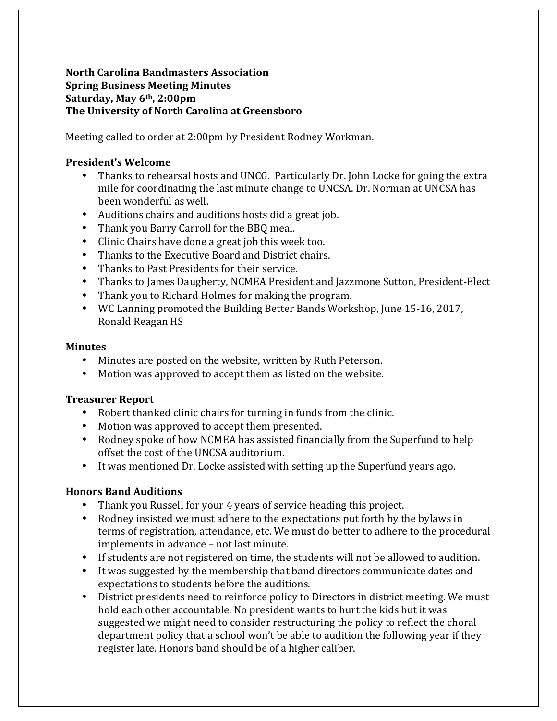### **North&Carolina&Bandmasters&Association Spring Business&Meeting Minutes** Saturday, May 6<sup>th</sup>, 2:00pm The University of North Carolina at Greensboro

Meeting called to order at 2:00pm by President Rodney Workman.

## **President's&Welcome**

- Thanks to rehearsal hosts and UNCG. Particularly Dr. John Locke for going the extra mile for coordinating the last minute change to UNCSA. Dr. Norman at UNCSA has been wonderful as well.
- Auditions chairs and auditions hosts did a great job.
- Thank you Barry Carroll for the BBQ meal.
- Clinic Chairs have done a great job this week too.
- Thanks to the Executive Board and District chairs.
- Thanks to Past Presidents for their service.
- Thanks to James Daugherty, NCMEA President and Jazzmone Sutton, President-Elect
- Thank you to Richard Holmes for making the program.
- WC Lanning promoted the Building Better Bands Workshop, June 15-16, 2017, Ronald Reagan HS

#### **Minutes**

- Minutes are posted on the website, written by Ruth Peterson.
- Motion was approved to accept them as listed on the website.

### **Treasurer Report**

- Robert thanked clinic chairs for turning in funds from the clinic.
- Motion was approved to accept them presented.
- Rodney spoke of how NCMEA has assisted financially from the Superfund to help offset the cost of the UNCSA auditorium.
- It was mentioned Dr. Locke assisted with setting up the Superfund years ago.

# **Honors Band Auditions**

- Thank you Russell for your 4 years of service heading this project.
- Rodney insisted we must adhere to the expectations put forth by the bylaws in terms of registration, attendance, etc. We must do better to adhere to the procedural implements in advance – not last minute.
- If students are not registered on time, the students will not be allowed to audition.
- It was suggested by the membership that band directors communicate dates and expectations to students before the auditions.
- District presidents need to reinforce policy to Directors in district meeting. We must hold each other accountable. No president wants to hurt the kids but it was suggested we might need to consider restructuring the policy to reflect the choral department policy that a school won't be able to audition the following year if they register late. Honors band should be of a higher caliber.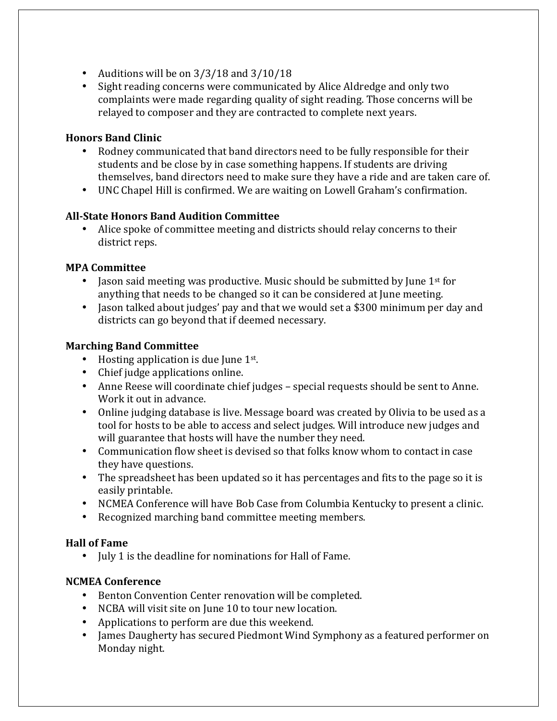- Auditions will be on  $3/3/18$  and  $3/10/18$
- Sight reading concerns were communicated by Alice Aldredge and only two complaints were made regarding quality of sight reading. Those concerns will be relayed to composer and they are contracted to complete next years.

## **Honors Band Clinic**

- Rodney communicated that band directors need to be fully responsible for their students and be close by in case something happens. If students are driving themselves, band directors need to make sure they have a ride and are taken care of.
- UNC Chapel Hill is confirmed. We are waiting on Lowell Graham's confirmation.

# **All-State Honors Band Audition Committee**

• Alice spoke of committee meeting and districts should relay concerns to their district reps.

### **MPA Committee**

- Jason said meeting was productive. Music should be submitted by June  $1<sup>st</sup>$  for anything that needs to be changed so it can be considered at June meeting.
- Jason talked about judges' pay and that we would set a \$300 minimum per day and districts can go beyond that if deemed necessary.

### **Marching Band Committee**

- Hosting application is due June  $1<sup>st</sup>$ .
- Chief judge applications online.
- Anne Reese will coordinate chief judges special requests should be sent to Anne. Work it out in advance.
- Online judging database is live. Message board was created by Olivia to be used as a tool for hosts to be able to access and select judges. Will introduce new judges and will guarantee that hosts will have the number they need.
- Communication flow sheet is devised so that folks know whom to contact in case they have questions.
- The spreadsheet has been updated so it has percentages and fits to the page so it is easily printable.
- NCMEA Conference will have Bob Case from Columbia Kentucky to present a clinic.
- Recognized marching band committee meeting members.

### **Hall of Fame**

• July 1 is the deadline for nominations for Hall of Fame.

# **NCMEA Conference**

- Benton Convention Center renovation will be completed.
- NCBA will visit site on June 10 to tour new location.
- Applications to perform are due this weekend.
- James Daugherty has secured Piedmont Wind Symphony as a featured performer on Monday night.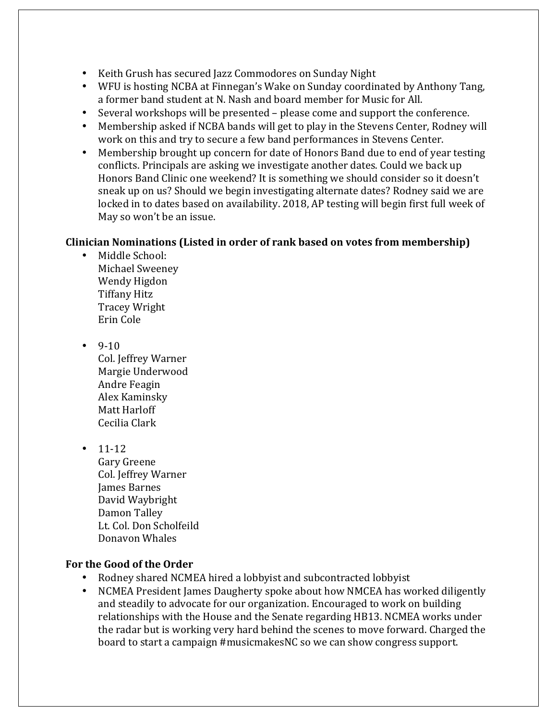- Keith Grush has secured Jazz Commodores on Sunday Night
- WFU is hosting NCBA at Finnegan's Wake on Sunday coordinated by Anthony Tang, a former band student at N. Nash and board member for Music for All.
- Several workshops will be presented please come and support the conference.
- Membership asked if NCBA bands will get to play in the Stevens Center, Rodney will work on this and try to secure a few band performances in Stevens Center.
- Membership brought up concern for date of Honors Band due to end of year testing conflicts. Principals are asking we investigate another dates. Could we back up Honors Band Clinic one weekend? It is something we should consider so it doesn't sneak up on us? Should we begin investigating alternate dates? Rodney said we are locked in to dates based on availability. 2018, AP testing will begin first full week of May so won't be an issue.

### **Clinician Nominations (Listed in order of rank based on votes from membership)**

- Middle School: Michael Sweeney Wendy Higdon **Tiffany Hitz** Tracey!Wright Erin!Cole
- $9-10$ Col. Jeffrey Warner Margie Underwood Andre Feagin Alex!Kaminsky! Matt Harloff Cecilia Clark
- $\cdot$  11-12

Gary Greene Col. Jeffrey Warner **James Barnes** David!Waybright! Damon Talley Lt. Col. Don Scholfeild Donavon!Whales

### For the Good of the Order

- Rodney shared NCMEA hired a lobbyist and subcontracted lobbyist
- NCMEA President James Daugherty spoke about how NMCEA has worked diligently and steadily to advocate for our organization. Encouraged to work on building relationships with the House and the Senate regarding HB13. NCMEA works under the radar but is working very hard behind the scenes to move forward. Charged the board to start a campaign #musicmakesNC so we can show congress support.